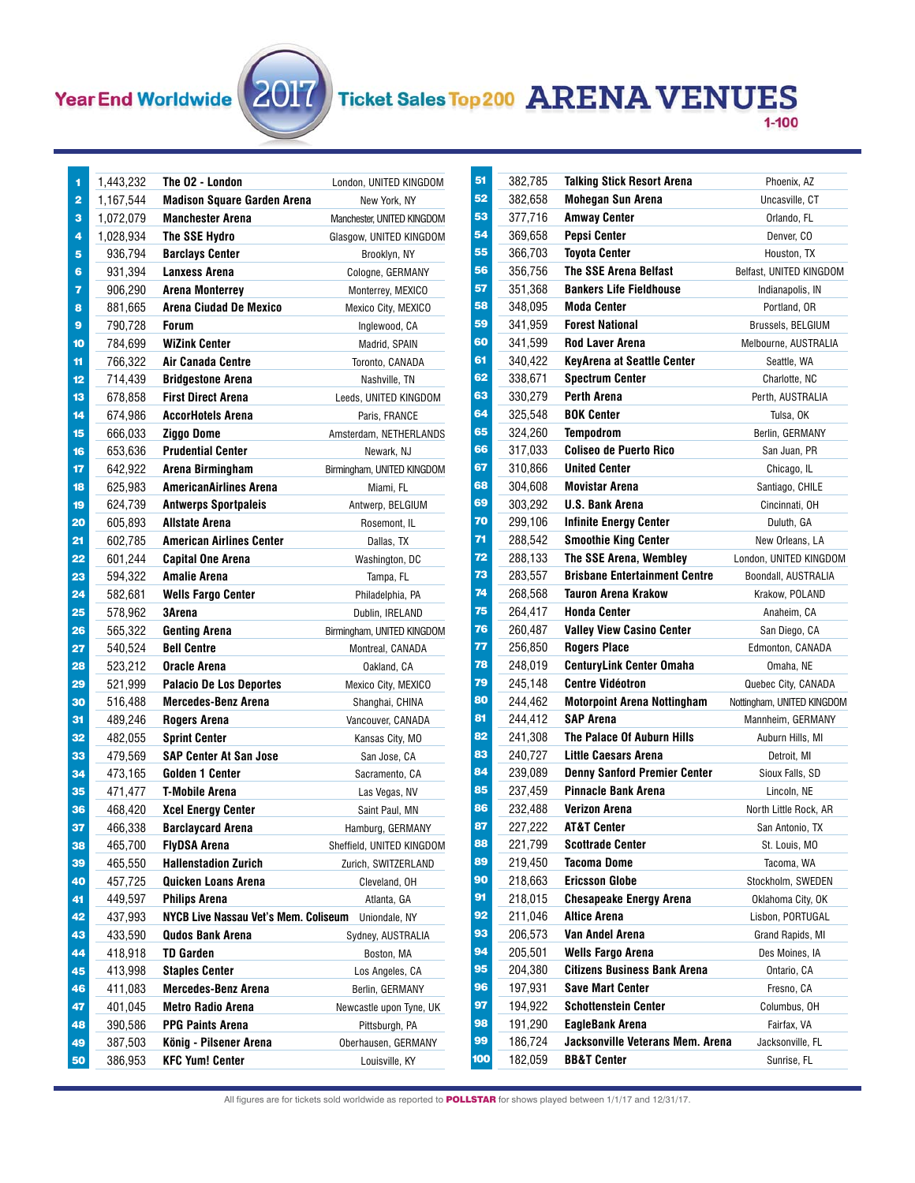## Year End Worldwide

**Contract** 



## **Ticket Sales Top 200 ARENA VENUES**

| 1        | 1,443,232          | The O2 - London                                  | London, UNITED KINGDOM                |
|----------|--------------------|--------------------------------------------------|---------------------------------------|
| 2        | 1,167,544          | <b>Madison Square Garden Arena</b>               | New York, NY                          |
| з        | 1,072,079          | <b>Manchester Arena</b>                          | Manchester, UNITED KINGDOM            |
| 4        | 1,028,934          | The SSE Hydro                                    | Glasgow, UNITED KINGDOM               |
| 5        | 936,794            | <b>Barclays Center</b>                           | Brooklyn, NY                          |
| 6        | 931,394            | <b>Lanxess Arena</b>                             | Cologne, GERMANY                      |
| 7        | 906,290            | Arena Monterrey                                  | Monterrey, MEXICO                     |
| 8        | 881,665            | Arena Ciudad De Mexico                           | Mexico City, MEXICO                   |
| 9        | 790,728            | <b>Forum</b>                                     | Inglewood, CA                         |
| 10       | 784,699            | <b>WiZink Center</b>                             | Madrid, SPAIN                         |
| 11       | 766,322            | Air Canada Centre                                | Toronto, CANADA                       |
| 12       | 714,439            | <b>Bridgestone Arena</b>                         | Nashville, TN                         |
| 13       | 678,858            | <b>First Direct Arena</b>                        | Leeds, UNITED KINGDOM                 |
| 14       | 674,986            | <b>AccorHotels Arena</b>                         | Paris, FRANCE                         |
| 15       | 666,033            | Ziggo Dome                                       | Amsterdam, NETHERLANDS                |
| 16       | 653,636            | <b>Prudential Center</b>                         | Newark, NJ                            |
| 17       | 642,922            | Arena Birmingham                                 | Birmingham, UNITED KINGDOM            |
| 18       | 625,983            | <b>AmericanAirlines Arena</b>                    | Miami, FL                             |
| 19       | 624,739            | <b>Antwerps Sportpaleis</b>                      | Antwerp, BELGIUM                      |
| 20       | 605,893            | Allstate Arena                                   | Rosemont, IL                          |
| 21       | 602,785            | American Airlines Center                         | Dallas, TX                            |
| 22       | 601,244            | <b>Capital One Arena</b>                         | Washington, DC                        |
| 23       | 594,322            | Amalie Arena                                     | Tampa, FL                             |
| 24       | 582,681            | <b>Wells Fargo Center</b>                        | Philadelphia, PA                      |
| 25       | 578,962            | 3Arena                                           | Dublin, IRELAND                       |
| 26       | 565,322            | <b>Genting Arena</b>                             | Birmingham, UNITED KINGDOM            |
| 27       | 540,524            | <b>Bell Centre</b>                               | Montreal, CANADA                      |
| 28       | 523,212            | Oracle Arena                                     | Oakland, CA                           |
| 29       | 521,999            | <b>Palacio De Los Deportes</b>                   | Mexico City, MEXICO                   |
| 30       | 516,488            | <b>Mercedes-Benz Arena</b>                       | Shanghai, CHINA                       |
| 31       | 489,246            | Rogers Arena                                     | Vancouver, CANADA                     |
| 32       | 482,055            | <b>Sprint Center</b>                             | Kansas City, MO                       |
| 33       | 479,569            | <b>SAP Center At San Jose</b>                    | San Jose, CA                          |
| 34       | 473,165            | Golden 1 Center                                  | Sacramento, CA                        |
| 35       | 471,477            | T-Mobile Arena                                   | Las Vegas, NV                         |
| 36       | 468,420            | <b>Xcel Energy Center</b>                        | Saint Paul, MN                        |
| 37       | 466,338            | <b>Barclaycard Arena</b>                         | Hamburg, GERMANY                      |
| 38       | 465,700            | <b>FlyDSA Arena</b>                              | Sheffield, UNITED KINGDOM             |
| 39       | 465,550            | <b>Hallenstadion Zurich</b>                      | Zurich, SWITZERLAND                   |
| 40       | 457,725            | Quicken Loans Arena                              | Cleveland, OH                         |
| 41       | 449,597            | <b>Philips Arena</b>                             | Atlanta, GA                           |
| 42       | 437,993            | NYCB Live Nassau Vet's Mem. Coliseum             | Uniondale, NY                         |
| 43       | 433,590<br>418,918 | <b>Qudos Bank Arena</b>                          | Sydney, AUSTRALIA                     |
| 44       |                    | TD Garden                                        | Boston, MA                            |
| 45       | 413,998            | <b>Staples Center</b>                            | Los Angeles, CA                       |
| 46<br>47 | 411,083            | <b>Mercedes-Benz Arena</b>                       | Berlin, GERMANY                       |
|          |                    |                                                  |                                       |
|          | 401,045            | <b>Metro Radio Arena</b>                         | Newcastle upon Tyne, UK               |
| 48       | 390,586            | <b>PPG Paints Arena</b>                          | Pittsburgh, PA                        |
| 49<br>50 | 387,503<br>386,953 | König - Pilsener Arena<br><b>KFC Yum! Center</b> | Oberhausen, GERMANY<br>Louisville, KY |

| 51  | 382,785 | Talking Stick Resort Arena           | Phoenix, AZ                |
|-----|---------|--------------------------------------|----------------------------|
| 52  | 382,658 | <b>Mohegan Sun Arena</b>             | Uncasville, CT             |
| 53  | 377,716 | <b>Amway Center</b>                  | Orlando, FL                |
| 54  | 369,658 | Pepsi Center                         | Denver, CO                 |
| 55  | 366,703 | <b>Tovota Center</b>                 | Houston, TX                |
| 56  | 356,756 | <b>The SSE Arena Belfast</b>         | Belfast, UNITED KINGDOM    |
| 57  | 351,368 | <b>Bankers Life Fieldhouse</b>       | Indianapolis, IN           |
| 58  | 348,095 | <b>Moda Center</b>                   | Portland, OR               |
| 59  | 341.959 | <b>Forest National</b>               | Brussels, BELGIUM          |
| 60  | 341,599 | <b>Rod Laver Arena</b>               | Melbourne, AUSTRALIA       |
| 61  | 340,422 | <b>KeyArena at Seattle Center</b>    | Seattle, WA                |
| 62  | 338,671 | <b>Spectrum Center</b>               | Charlotte, NC              |
| 63  | 330,279 | Perth Arena                          | Perth, AUSTRALIA           |
| 64  | 325,548 | <b>BOK Center</b>                    | Tulsa, OK                  |
| 65  | 324,260 | <b>Tempodrom</b>                     | Berlin, GERMANY            |
| 66  | 317,033 | <b>Coliseo de Puerto Rico</b>        | San Juan, PR               |
| 67  | 310.866 | <b>United Center</b>                 | Chicago, IL                |
| 68  | 304,608 | <b>Movistar Arena</b>                | Santiago, CHILE            |
| 69  | 303,292 | <b>U.S. Bank Arena</b>               | Cincinnati, OH             |
| 70  | 299,106 | <b>Infinite Energy Center</b>        | Duluth, GA                 |
| 71  | 288,542 | <b>Smoothie King Center</b>          | New Orleans, LA            |
| 72  | 288,133 | The SSE Arena, Wembley               | London, UNITED KINGDOM     |
| 73  | 283,557 | <b>Brisbane Entertainment Centre</b> | Boondall, AUSTRALIA        |
| 74  | 268,568 | <b>Tauron Arena Krakow</b>           | Krakow, POLAND             |
| 75  | 264,417 | <b>Honda Center</b>                  | Anaheim, CA                |
| 76  | 260,487 | <b>Valley View Casino Center</b>     | San Diego, CA              |
| 77  | 256,850 | <b>Rogers Place</b>                  | Edmonton, CANADA           |
| 78  | 248,019 | <b>CenturyLink Center Omaha</b>      | Omaha, NE                  |
| 79  | 245,148 | <b>Centre Vidéotron</b>              | Quebec City, CANADA        |
| 80  | 244,462 | <b>Motorpoint Arena Nottingham</b>   | Nottingham, UNITED KINGDOM |
| 81  | 244,412 | <b>SAP Arena</b>                     | Mannheim, GERMANY          |
| 82  | 241,308 | <b>The Palace Of Auburn Hills</b>    | Auburn Hills, MI           |
| 83  | 240,727 | Little Caesars Arena                 | Detroit. MI                |
| 84  | 239,089 | <b>Denny Sanford Premier Center</b>  | Sioux Falls, SD            |
| 85  | 237,459 | <b>Pinnacle Bank Arena</b>           | Lincoln, NE                |
| 86  | 232,488 | Verizon Arena                        | North Little Rock, AR      |
| 87  | 227,222 | AT&T Center                          | San Antonio, TX            |
| 88  | 221,799 | Scottrade Center                     | St. Louis, MO              |
| 89  | 219,450 | Tacoma Dome                          | Tacoma, WA                 |
| 90  | 218,663 | <b>Ericsson Globe</b>                | Stockholm, SWEDEN          |
| 91  | 218,015 | <b>Chesapeake Energy Arena</b>       | Oklahoma City, OK          |
| 92  | 211,046 | Altice Arena                         | Lisbon, PORTUGAL           |
| 93  | 206,573 | Van Andel Arena                      | Grand Rapids, MI           |
| 94  | 205,501 | <b>Wells Fargo Arena</b>             | Des Moines, IA             |
| 95  | 204,380 | <b>Citizens Business Bank Arena</b>  | Ontario, CA                |
| 96  | 197,931 | <b>Save Mart Center</b>              | Fresno, CA                 |
| 97  | 194,922 | <b>Schottenstein Center</b>          | Columbus, OH               |
| 98  | 191,290 | EagleBank Arena                      | Fairfax, VA                |
| 99  | 186,724 | Jacksonville Veterans Mem. Arena     | Jacksonville, FL           |
| 100 | 182,059 | <b>BB&amp;T Center</b>               | Sunrise, FL                |

All figures are for tickets sold worldwide as reported to **POLLSTAR** for shows played between 1/1/17 and 12/31/17.